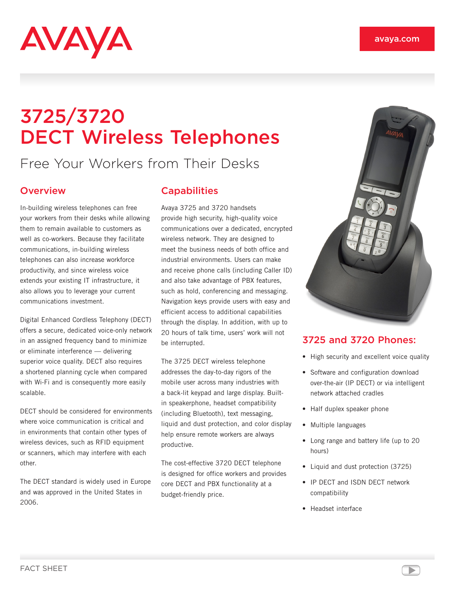

# 3725/3720 DECT Wireless Telephones

## Free Your Workers from Their Desks

#### **Overview**

In-building wireless telephones can free your workers from their desks while allowing them to remain available to customers as well as co-workers. Because they facilitate communications, in-building wireless telephones can also increase workforce productivity, and since wireless voice extends your existing IT infrastructure, it also allows you to leverage your current communications investment.

Digital Enhanced Cordless Telephony (DECT) offers a secure, dedicated voice-only network in an assigned frequency band to minimize or eliminate interference — delivering superior voice quality. DECT also requires a shortened planning cycle when compared with Wi-Fi and is consequently more easily scalable.

DECT should be considered for environments where voice communication is critical and in environments that contain other types of wireless devices, such as RFID equipment or scanners, which may interfere with each other.

The DECT standard is widely used in Europe and was approved in the United States in 2006.

### **Capabilities**

Avaya 3725 and 3720 handsets provide high security, high-quality voice communications over a dedicated, encrypted wireless network. They are designed to meet the business needs of both office and industrial environments. Users can make and receive phone calls (including Caller ID) and also take advantage of PBX features, such as hold, conferencing and messaging. Navigation keys provide users with easy and efficient access to additional capabilities through the display. In addition, with up to 20 hours of talk time, users' work will not be interrupted.

The 3725 DECT wireless telephone addresses the day-to-day rigors of the mobile user across many industries with a back-lit keypad and large display. Builtin speakerphone, headset compatibility (including Bluetooth), text messaging, liquid and dust protection, and color display help ensure remote workers are always productive.

The cost-effective 3720 DECT telephone is designed for office workers and provides core DECT and PBX functionality at a budget-friendly price.



#### 3725 and 3720 Phones:

- High security and excellent voice quality
- Software and configuration download over-the-air (IP DECT) or via intelligent network attached cradles
- Half duplex speaker phone
- Multiple languages
- Long range and battery life (up to 20 hours)
- Liquid and dust protection (3725)
- IP DECT and ISDN DECT network compatibility
- Headset interface